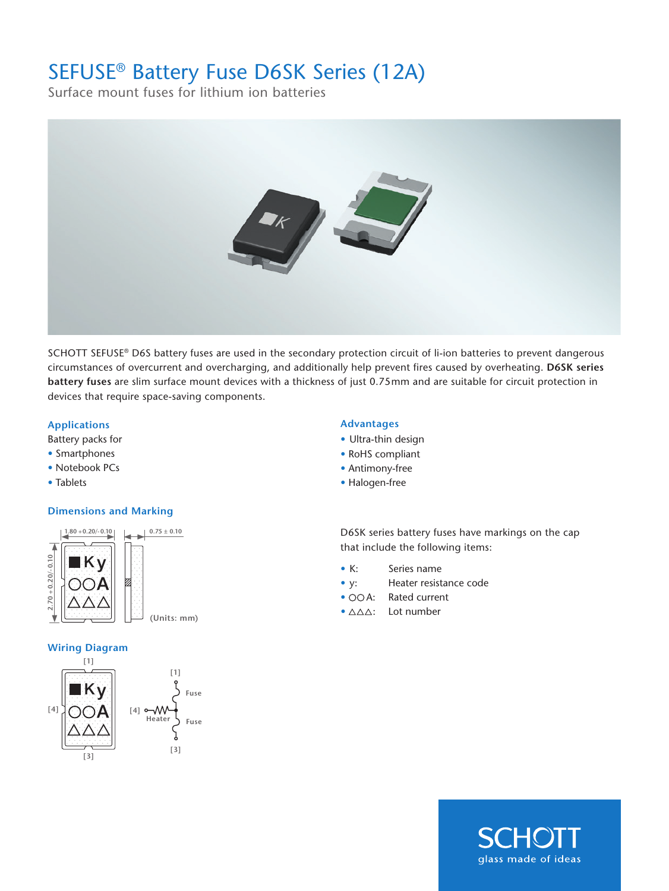## SEFUSE® Battery Fuse D6SK Series (12A)

Surface mount fuses for lithium ion batteries



SCHOTT SEFUSE® D6S battery fuses are used in the secondary protection circuit of li-ion batteries to prevent dangerous circumstances of overcurrent and overcharging, and additionally help prevent fires caused by overheating. **D6SK series battery fuses** are slim surface mount devices with a thickness of just 0.75mm and are suitable for circuit protection in devices that require space-saving components.

## **Applications Advantages**

Battery packs for

- Smartphones
- Notebook PCs
- Tablets

## **Dimensions and Marking**



## **Wiring Diagram**



- Ultra-thin design
- RoHS compliant
- Antimony-free
- Halogen-free

D6SK series battery fuses have markings on the cap that include the following items:

- K: Series name
- y: Heater resistance code
- OOA: Rated current
- $\bullet$   $\triangle\triangle\triangle$ : Lot number